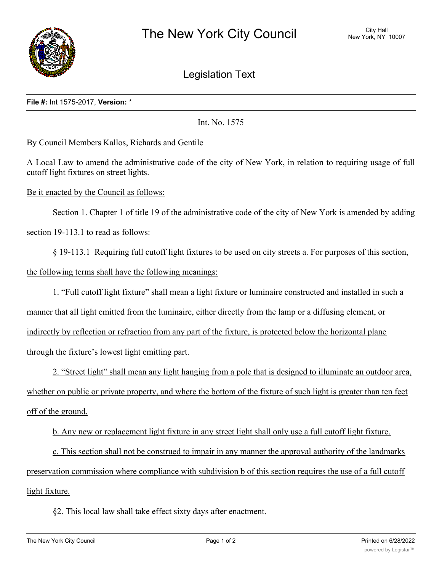

Legislation Text

## **File #:** Int 1575-2017, **Version:** \*

Int. No. 1575

By Council Members Kallos, Richards and Gentile

A Local Law to amend the administrative code of the city of New York, in relation to requiring usage of full cutoff light fixtures on street lights.

Be it enacted by the Council as follows:

Section 1. Chapter 1 of title 19 of the administrative code of the city of New York is amended by adding section 19-113.1 to read as follows:

§ 19-113.1 Requiring full cutoff light fixtures to be used on city streets a. For purposes of this section, the following terms shall have the following meanings:

1. "Full cutoff light fixture" shall mean a light fixture or luminaire constructed and installed in such a

manner that all light emitted from the luminaire, either directly from the lamp or a diffusing element, or indirectly by reflection or refraction from any part of the fixture, is protected below the horizontal plane through the fixture's lowest light emitting part.

2. "Street light" shall mean any light hanging from a pole that is designed to illuminate an outdoor area, whether on public or private property, and where the bottom of the fixture of such light is greater than ten feet off of the ground.

b. Any new or replacement light fixture in any street light shall only use a full cutoff light fixture.

c. This section shall not be construed to impair in any manner the approval authority of the landmarks preservation commission where compliance with subdivision b of this section requires the use of a full cutoff light fixture.

§2. This local law shall take effect sixty days after enactment.